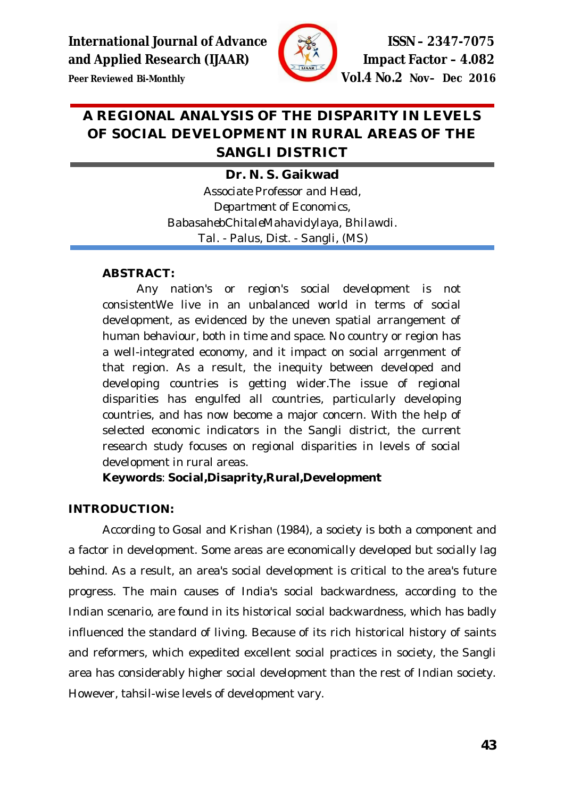

**Peer Reviewed Bi-Monthly Vol.4 No.2 Nov– Dec 2016**

# **A REGIONAL ANALYSIS OF THE DISPARITY IN LEVELS OF SOCIAL DEVELOPMENT IN RURAL AREAS OF THE SANGLI DISTRICT**

# **Dr. N. S. Gaikwad**

*Associate Professor and Head, Department of Economics, BabasahebChitaleMahavidylaya, Bhilawdi. Tal. - Palus, Dist. - Sangli, (MS)*

## **ABSTRACT:**

Any nation's or region's social development is not consistentWe live in an unbalanced world in terms of social development, as evidenced by the uneven spatial arrangement of human behaviour, both in time and space. No country or region has a well-integrated economy, and it impact on social arrgenment of that region. As a result, the inequity between developed and developing countries is getting wider.The issue of regional disparities has engulfed all countries, particularly developing countries, and has now become a major concern. With the help of selected economic indicators in the Sangli district, the current research study focuses on regional disparities in levels of social development in rural areas.

**Keywords**: **Social,Disaprity,Rural,Development**

# **INTRODUCTION:**

According to Gosal and Krishan (1984), a society is both a component and a factor in development. Some areas are economically developed but socially lag behind. As a result, an area's social development is critical to the area's future progress. The main causes of India's social backwardness, according to the Indian scenario, are found in its historical social backwardness, which has badly influenced the standard of living. Because of its rich historical history of saints and reformers, which expedited excellent social practices in society, the Sangli area has considerably higher social development than the rest of Indian society. However, tahsil-wise levels of development vary.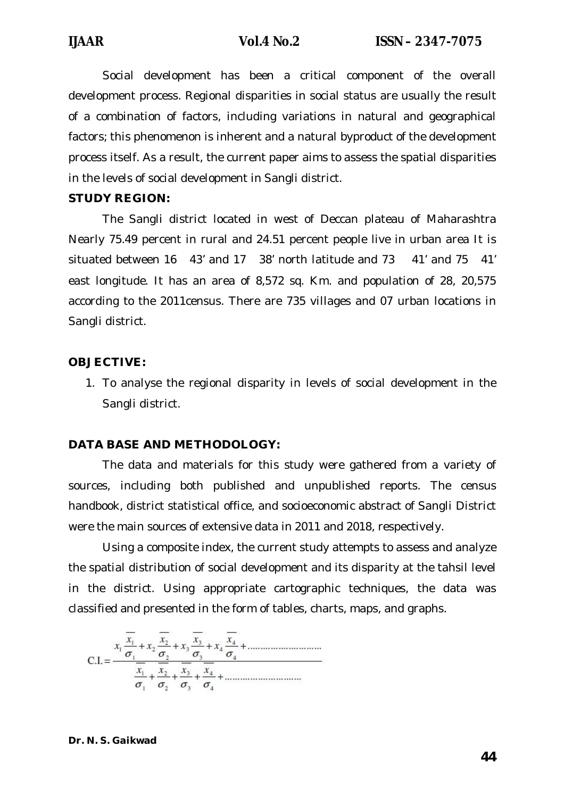Social development has been a critical component of the overall development process. Regional disparities in social status are usually the result of a combination of factors, including variations in natural and geographical factors; this phenomenon is inherent and a natural byproduct of the development process itself. As a result, the current paper aims to assess the spatial disparities in the levels of social development in Sangli district.

### **STUDY REGION:**

The Sangli district located in west of Deccan plateau of Maharashtra Nearly 75.49 percent in rural and 24.51 percent people live in urban area It is situated between 16 43' and 17 38' north latitude and 73 41' and 75 41' east longitude. It has an area of 8,572 sq. Km. and population of 28, 20,575 according to the 2011census. There are 735 villages and 07 urban locations in Sangli district.

### **OBJECTIVE:**

1. To analyse the regional disparity in levels of social development in the Sangli district.

### **DATA BASE AND METHODOLOGY:**

The data and materials for this study were gathered from a variety of sources, including both published and unpublished reports. The census handbook, district statistical office, and socioeconomic abstract of Sangli District were the main sources of extensive data in 2011 and 2018, respectively.

Using a composite index, the current study attempts to assess and analyze the spatial distribution of social development and its disparity at the tahsil level in the district. Using appropriate cartographic techniques, the data was classified and presented in the form of tables, charts, maps, and graphs.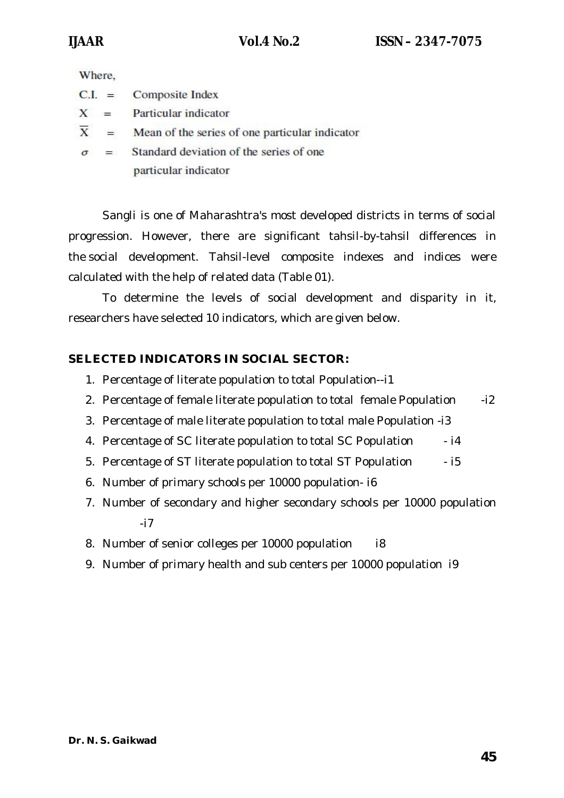Where,

- $C.I. =$ **Composite Index**
- $X =$ Particular indicator
- $\overline{X}$  = Mean of the series of one particular indicator
- Standard deviation of the series of one  $\sigma =$ particular indicator

Sangli is one of Maharashtra's most developed districts in terms of social progression. However, there are significant tahsil-by-tahsil differences in the social development. Tahsil-level composite indexes and indices were calculated with the help of related data (Table 01).

To determine the levels of social development and disparity in it, researchers have selected 10 indicators, which are given below.

# **SELECTED INDICATORS IN SOCIAL SECTOR:**

- 1. Percentage of literate population to total Population--i1
- 2. Percentage of female literate population to total female Population -i2
- 3. Percentage of male literate population to total male Population -i3
- 4. Percentage of SC literate population to total SC Population  $-14$
- 5. Percentage of ST literate population to total ST Population i5
- 6. Number of primary schools per 10000 population- i6
- 7. Number of secondary and higher secondary schools per 10000 population -i7
- 8. Number of senior colleges per 10000 population i8
- 9. Number of primary health and sub centers per 10000 population i9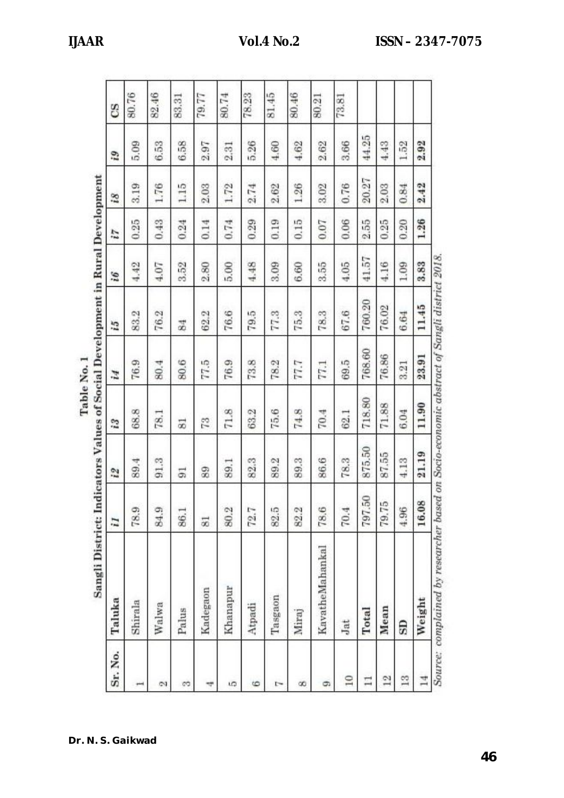| Sr. No.  | Taluka          | $\overline{\mathbf{I}}$ | $\tilde{z}$ | 13     | Ħ,     | č,     | i6    | Z.   | $\tilde{\mathcal{S}}$ | i9     | CS    |
|----------|-----------------|-------------------------|-------------|--------|--------|--------|-------|------|-----------------------|--------|-------|
| ₩        | Shirala         | 78.9                    | 89.4        | 68.8   | 76.9   | 83.2   | 4.42  | 0.25 | 3.19                  | 5.09   | 80.76 |
| Z        | Walwa           | 84.9                    | 91.3        | 78.1   | 80.4   | 76.2   | 4.07  | 0.43 | 1.76                  | 6.53   | 82.46 |
| S        | Palus           | 86.1                    | 51          | 55     | 80.6   | 84     | 3.52  | 0.24 | 1.15                  | 6.58   | 83.31 |
| 4        | Kadegaon        | 53                      | 89          | 73     | 77,5   | 62.2   | 2.80  | 0.14 | 2.03                  | 2.97   | 79.77 |
| ı.       | Khanapur        | 80.2                    | 89.1        | 71.8   | 76.9   | 76.6   | 5.00  | 0.74 | 1.72                  | 2.31   | 80.74 |
| 6        | Atpadi          | 72.7                    | 82.3        | 63.2   | 73.8   | 79.5   | 4.48  | 0.29 | 2.74                  | 5.26   | 78.23 |
| ŀ        | Tasgaon         | 82.5                    | 89.2        | 75.6   | 78.2   | 77.3   | 3.09  | 0.19 | 2.62                  | $4.60$ | 81.45 |
| $\infty$ | Miraj           | 82.2                    | 89.3        | 74.8   | 77.7   | 75.3   | 6.60  | 0.15 | 1.26                  | 4.62   | 80.46 |
| G        | KavatheMahankal | 78.6                    | 86.6        | 70.4   | 77.1   | 78.3   | 3.55  | 0.07 | 3.02                  | 2.62   | 80.21 |
| $\Xi$    | Jat             | 70.4                    | 78.3        | 62.1   | 69.5   | 67.6   | 4.05  | 0.06 | 0.76                  | 3.66   | 73.81 |
| $\Box$   | Total           | S<br>797.               | 875.50      | 718.80 | 768.60 | 760.20 | 41.57 | 2.55 | 20.27                 | 44.25  |       |
| $^{12}$  | Mean            | LO <sub>1</sub><br>79.7 | 87.55       | 71.88  | 76.86  | 76.02  | 4.16  | 0.25 | 2.03                  | 4.43   |       |
| 13       | GS              | 4.96                    | 4.13        | 6.04   | 3.21   | 6.64   | 1.09  | 0.20 | 0.84                  | 1.52   |       |
| 14       | Weight          | 16.08                   | 21.19       | 11.90  | 23.91  | 11.45  | 3.83  | 1.26 | 2.42                  | 2.92   |       |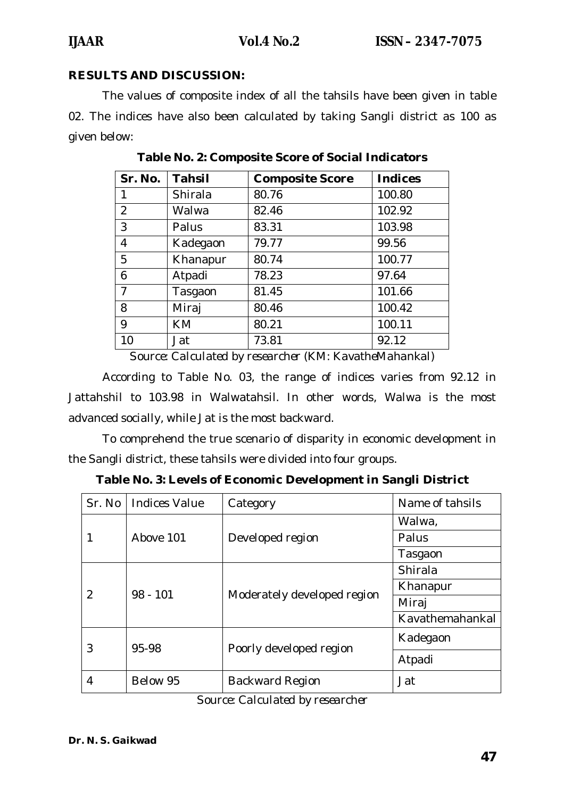# **RESULTS AND DISCUSSION:**

The values of composite index of all the tahsils have been given in table 02. The indices have also been calculated by taking Sangli district as 100 as given below:

| Sr. No.        | <b>Tahsil</b> | <b>Composite Score</b> | <b>Indices</b> |
|----------------|---------------|------------------------|----------------|
| 1              | Shirala       | 80.76                  | 100.80         |
| $\overline{2}$ | Walwa         | 82.46                  | 102.92         |
| 3              | Palus         | 83.31                  | 103.98         |
| 4              | Kadegaon      | 79.77                  | 99.56          |
| 5              | Khanapur      | 80.74                  | 100.77         |
| 6              | Atpadi        | 78.23                  | 97.64          |
| $\overline{7}$ | Tasgaon       | 81.45                  | 101.66         |
| 8              | Miraj         | 80.46                  | 100.42         |
| 9              | <b>KM</b>     | 80.21                  | 100.11         |
| 10             | Jat           | 73.81                  | 92.12          |

**Table No. 2: Composite Score of Social Indicators**

*Source: Calculated by researcher (KM: KavatheMahankal)*

According to Table No. 03, the range of indices varies from 92.12 in Jattahshil to 103.98 in Walwatahsil. In other words, Walwa is the most advanced socially, while Jat is the most backward.

To comprehend the true scenario of disparity in economic development in the Sangli district, these tahsils were divided into four groups.

| Sr. No        | <b>Indices Value</b> | Category                    | Name of tahsils |
|---------------|----------------------|-----------------------------|-----------------|
|               | Above 101            | Developed region            | Walwa,          |
|               |                      |                             | Palus           |
|               |                      |                             | Tasgaon         |
| $\mathcal{P}$ | $98 - 101$           | Moderately developed region | Shirala         |
|               |                      |                             | Khanapur        |
|               |                      |                             | Miraj           |
|               |                      |                             | Kavathemahankal |
| 3             | 95-98                | Poorly developed region     | Kadegaon        |
|               |                      |                             | Atpadi          |
| 4             | Below 95             | Backward Region             | Jat             |

**Table No. 3: Levels of Economic Development in Sangli District**

*Source: Calculated by researcher*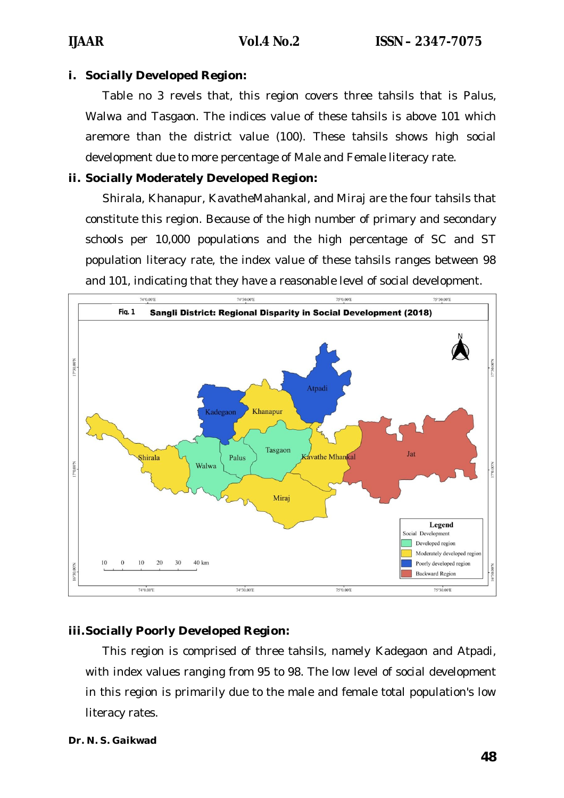### **i. Socially Developed Region:**

Table no 3 revels that, this region covers three tahsils that is Palus, Walwa and Tasgaon. The indices value of these tahsils is above 101 which aremore than the district value (100). These tahsils shows high social development due to more percentage of Male and Female literacy rate.

## **ii. Socially Moderately Developed Region:**

Shirala, Khanapur, KavatheMahankal, and Miraj are the four tahsils that constitute this region. Because of the high number of primary and secondary schools per 10,000 populations and the high percentage of SC and ST population literacy rate, the index value of these tahsils ranges between 98 and 101, indicating that they have a reasonable level of social development.



# **iii.Socially Poorly Developed Region:**

This region is comprised of three tahsils, namely Kadegaon and Atpadi, with index values ranging from 95 to 98. The low level of social development in this region is primarily due to the male and female total population's low literacy rates.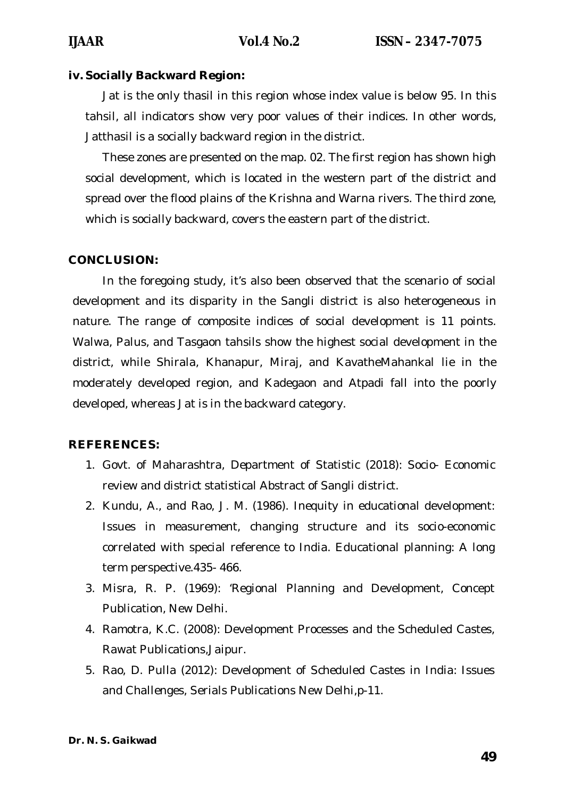### **iv. Socially Backward Region:**

Jat is the only thasil in this region whose index value is below 95. In this tahsil, all indicators show very poor values of their indices. In other words, Jatthasil is a socially backward region in the district.

These zones are presented on the map. 02. The first region has shown high social development, which is located in the western part of the district and spread over the flood plains of the Krishna and Warna rivers. The third zone, which is socially backward, covers the eastern part of the district.

### **CONCLUSION:**

In the foregoing study, it's also been observed that the scenario of social development and its disparity in the Sangli district is also heterogeneous in nature. The range of composite indices of social development is 11 points. Walwa, Palus, and Tasgaon tahsils show the highest social development in the district, while Shirala, Khanapur, Miraj, and KavatheMahankal lie in the moderately developed region, and Kadegaon and Atpadi fall into the poorly developed, whereas Jat is in the backward category.

### **REFERENCES:**

- 1. Govt. of Maharashtra, Department of Statistic (2018): Socio- Economic review and district statistical Abstract of Sangli district.
- 2. Kundu, A., and Rao, J. M. (1986). Inequity in educational development: Issues in measurement, changing structure and its socio-economic correlated with special reference to India. Educational planning: A long term perspective.435- 466.
- 3. Misra, R. P. (1969): 'Regional Planning and Development, Concept Publication, New Delhi.
- 4. Ramotra, K.C. (2008): Development Processes and the Scheduled Castes, Rawat Publications,Jaipur.
- 5. Rao, D. Pulla (2012): Development of Scheduled Castes in India: Issues and Challenges, Serials Publications New Delhi,p-11.